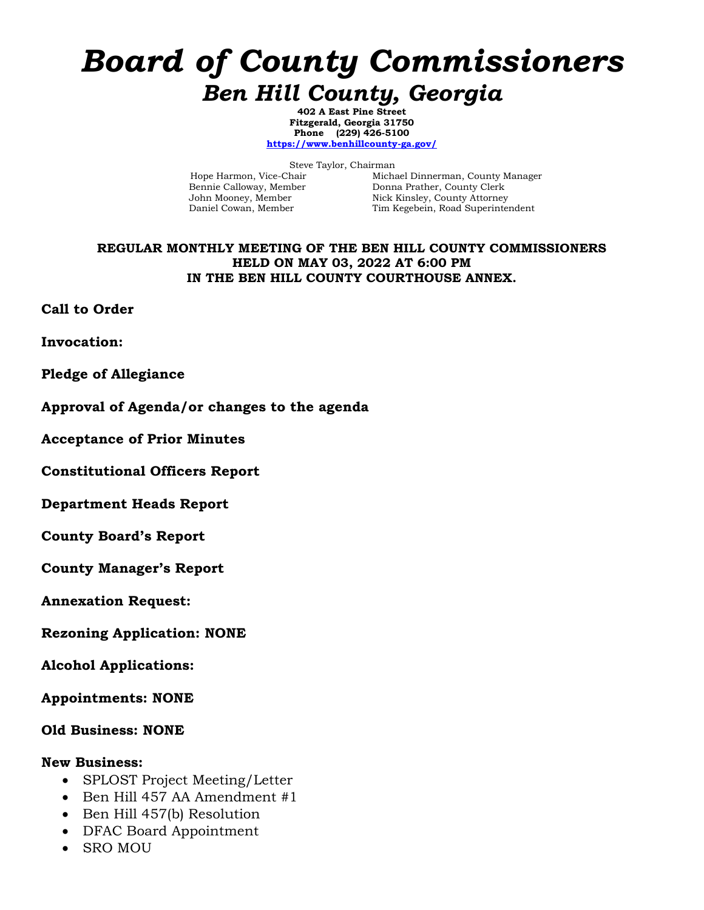# *Board of County Commissioners Ben Hill County, Georgia*

**402 A East Pine Street Fitzgerald, Georgia 31750 Phone (229) 426-5100 <https://www.benhillcounty-ga.gov/>**

Steve Taylor, Chairman<br>Hope Harmon, Vice-Chair Micha

Michael Dinnerman, County Manager Bennie Calloway, Member Donna Prather, County Clerk John Mooney, Member Nick Kinsley, County Attorney Daniel Cowan, Member Tim Kegebein, Road Superinte Tim Kegebein, Road Superintendent

#### **REGULAR MONTHLY MEETING OF THE BEN HILL COUNTY COMMISSIONERS HELD ON MAY 03, 2022 AT 6:00 PM IN THE BEN HILL COUNTY COURTHOUSE ANNEX.**

**Call to Order**

**Invocation:**

**Pledge of Allegiance**

#### **Approval of Agenda/or changes to the agenda**

**Acceptance of Prior Minutes**

**Constitutional Officers Report**

**Department Heads Report**

**County Board's Report**

**County Manager's Report**

**Annexation Request:**

**Rezoning Application: NONE**

**Alcohol Applications:**

**Appointments: NONE**

**Old Business: NONE**

#### **New Business:**

- SPLOST Project Meeting/Letter
- Ben Hill 457 AA Amendment #1
- Ben Hill 457(b) Resolution
- DFAC Board Appointment
- SRO MOU